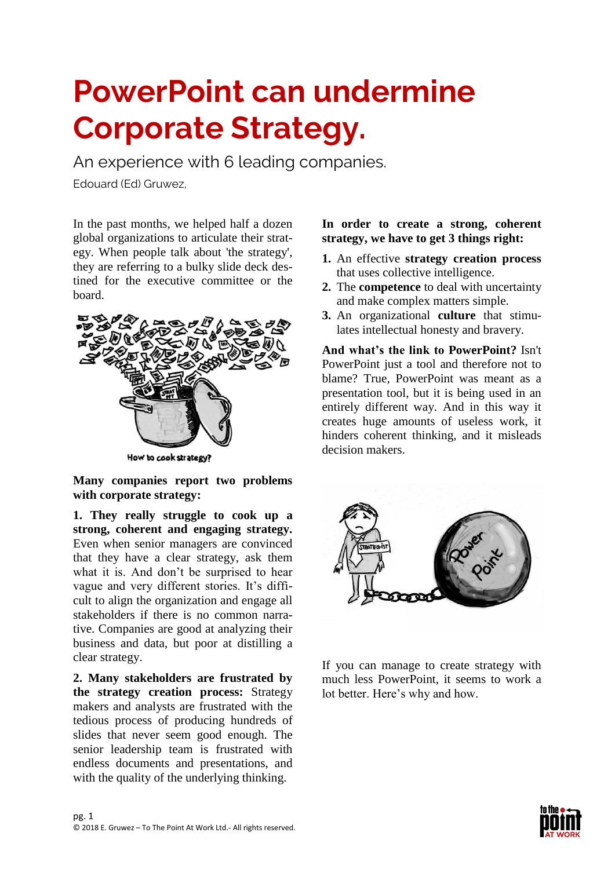# **PowerPoint can undermine Corporate Strategy.**

An experience with 6 leading companies.

Edouard (Ed) Gruwez,

In the past months, we helped half a dozen global organizations to articulate their strategy. When people talk about 'the strategy', they are referring to a bulky slide deck destined for the executive committee or the board.



How to cook strategy?

**Many companies report two problems with corporate strategy:**

**1. They really struggle to cook up a strong, coherent and engaging strategy.** Even when senior managers are convinced that they have a clear strategy, ask them what it is. And don't be surprised to hear vague and very different stories. It's difficult to align the organization and engage all stakeholders if there is no common narrative. Companies are good at analyzing their business and data, but poor at distilling a clear strategy.

**2. Many stakeholders are frustrated by the strategy creation process:** Strategy makers and analysts are frustrated with the tedious process of producing hundreds of slides that never seem good enough. The senior leadership team is frustrated with endless documents and presentations, and with the quality of the underlying thinking.

### **In order to create a strong, coherent strategy, we have to get 3 things right:**

- **1.** An effective **strategy creation process** that uses collective intelligence.
- **2.** The **competence** to deal with uncertainty and make complex matters simple.
- **3.** An organizational **culture** that stimulates intellectual honesty and bravery.

**And what's the link to PowerPoint?** Isn't PowerPoint just a tool and therefore not to blame? True, PowerPoint was meant as a presentation tool, but it is being used in an entirely different way. And in this way it creates huge amounts of useless work, it hinders coherent thinking, and it misleads decision makers.



If you can manage to create strategy with much less PowerPoint, it seems to work a lot better. Here's why and how.

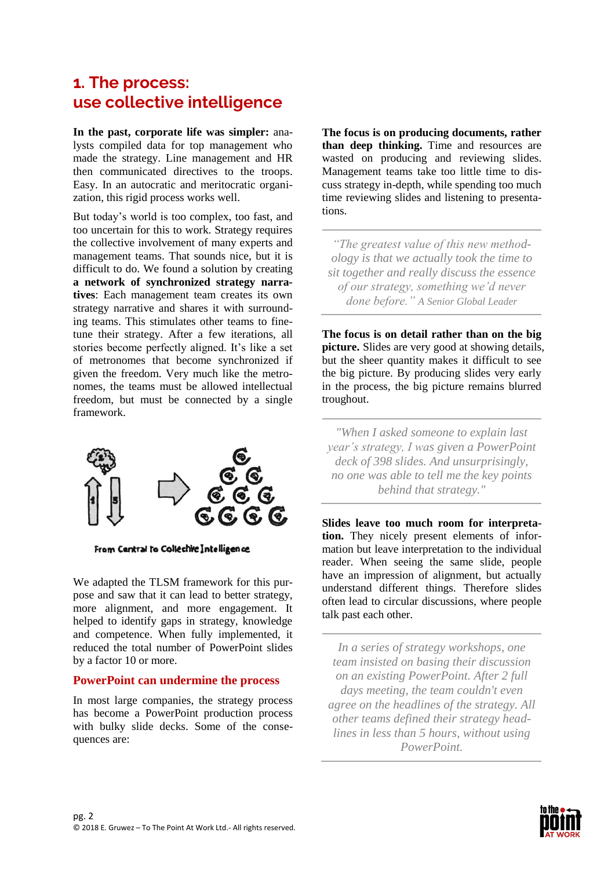## **1. The process: use collective intelligence**

**In the past, corporate life was simpler:** analysts compiled data for top management who made the strategy. Line management and HR then communicated directives to the troops. Easy. In an autocratic and meritocratic organization, this rigid process works well.

But today's world is too complex, too fast, and too uncertain for this to work. Strategy requires the collective involvement of many experts and management teams. That sounds nice, but it is difficult to do. We found a solution by creating **a network of synchronized strategy narratives**: Each management team creates its own strategy narrative and shares it with surrounding teams. This stimulates other teams to finetune their strategy. After a few iterations, all stories become perfectly aligned. It's like a set of metronomes that become synchronized if given the freedom. Very much like the metronomes, the teams must be allowed intellectual freedom, but must be connected by a single framework.



From Central to Collechie Intelligence

We adapted the TLSM framework for this purpose and saw that it can lead to better strategy, more alignment, and more engagement. It helped to identify gaps in strategy, knowledge and competence. When fully implemented, it reduced the total number of PowerPoint slides by a factor 10 or more.

#### **PowerPoint can undermine the process**

In most large companies, the strategy process has become a PowerPoint production process with bulky slide decks. Some of the consequences are:

**The focus is on producing documents, rather than deep thinking.** Time and resources are wasted on producing and reviewing slides. Management teams take too little time to discuss strategy in-depth, while spending too much time reviewing slides and listening to presentations.

*"The greatest value of this new methodology is that we actually took the time to sit together and really discuss the essence of our strategy, something we'd never done before." A Senior Global Leader*

**The focus is on detail rather than on the big picture.** Slides are very good at showing details, but the sheer quantity makes it difficult to see the big picture. By producing slides very early in the process, the big picture remains blurred troughout.

*"When I asked someone to explain last year's strategy, I was given a PowerPoint deck of 398 slides. And unsurprisingly, no one was able to tell me the key points behind that strategy."*

**Slides leave too much room for interpretation.** They nicely present elements of information but leave interpretation to the individual reader. When seeing the same slide, people have an impression of alignment, but actually understand different things. Therefore slides often lead to circular discussions, where people talk past each other.

*In a series of strategy workshops, one team insisted on basing their discussion on an existing PowerPoint. After 2 full days meeting, the team couldn't even agree on the headlines of the strategy. All other teams defined their strategy headlines in less than 5 hours, without using PowerPoint.*

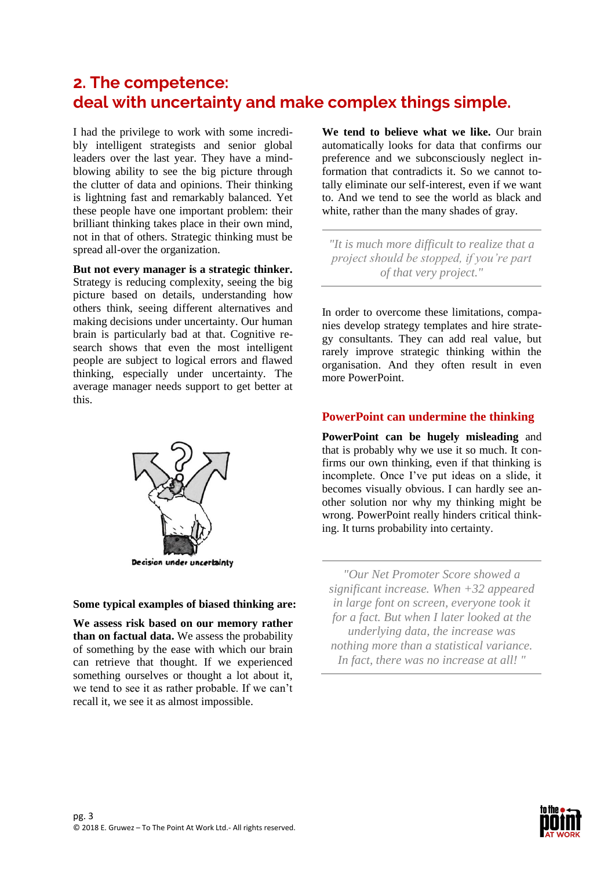## **2. The competence: deal with uncertainty and make complex things simple.**

I had the privilege to work with some incredibly intelligent strategists and senior global leaders over the last year. They have a mindblowing ability to see the big picture through the clutter of data and opinions. Their thinking is lightning fast and remarkably balanced. Yet these people have one important problem: their brilliant thinking takes place in their own mind, not in that of others. Strategic thinking must be spread all-over the organization.

**But not every manager is a strategic thinker.** Strategy is reducing complexity, seeing the big picture based on details, understanding how others think, seeing different alternatives and making decisions under uncertainty. Our human brain is particularly bad at that. Cognitive research shows that even the most intelligent people are subject to logical errors and flawed thinking, especially under uncertainty. The average manager needs support to get better at this.



**Some typical examples of biased thinking are:**

**We assess risk based on our memory rather than on factual data.** We assess the probability of something by the ease with which our brain can retrieve that thought. If we experienced something ourselves or thought a lot about it, we tend to see it as rather probable. If we can't recall it, we see it as almost impossible.

**We tend to believe what we like.** Our brain automatically looks for data that confirms our preference and we subconsciously neglect information that contradicts it. So we cannot totally eliminate our self-interest, even if we want to. And we tend to see the world as black and white, rather than the many shades of gray.

*"It is much more difficult to realize that a project should be stopped, if you're part of that very project."*

In order to overcome these limitations, companies develop strategy templates and hire strategy consultants. They can add real value, but rarely improve strategic thinking within the organisation. And they often result in even more PowerPoint.

## **PowerPoint can undermine the thinking**

**PowerPoint can be hugely misleading** and that is probably why we use it so much. It confirms our own thinking, even if that thinking is incomplete. Once I've put ideas on a slide, it becomes visually obvious. I can hardly see another solution nor why my thinking might be wrong. PowerPoint really hinders critical thinking. It turns probability into certainty.

*"Our Net Promoter Score showed a significant increase. When +32 appeared in large font on screen, everyone took it for a fact. But when I later looked at the underlying data, the increase was nothing more than a statistical variance. In fact, there was no increase at all! "*

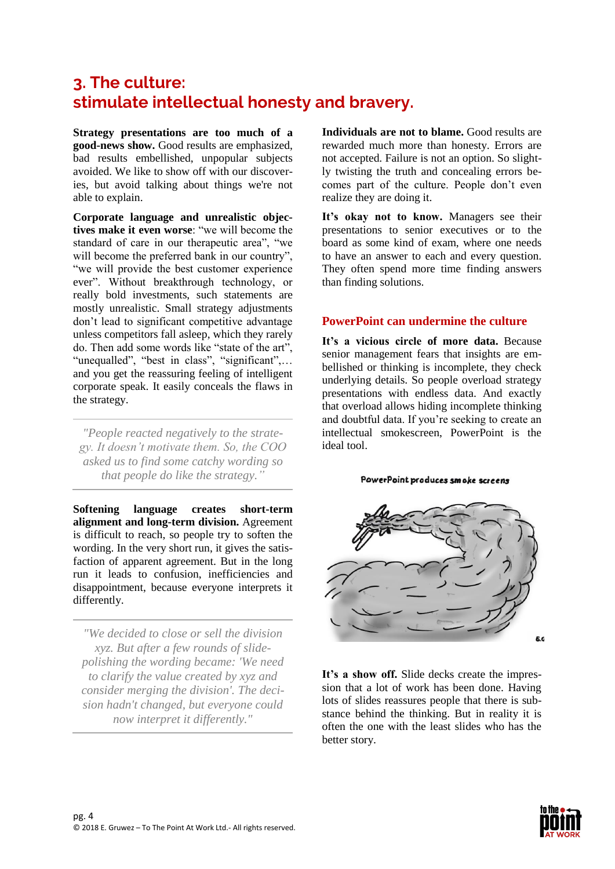# **3. The culture: stimulate intellectual honesty and bravery.**

**Strategy presentations are too much of a good-news show.** Good results are emphasized, bad results embellished, unpopular subjects avoided. We like to show off with our discoveries, but avoid talking about things we're not able to explain.

**Corporate language and unrealistic objectives make it even worse**: "we will become the standard of care in our therapeutic area", "we will become the preferred bank in our country", "we will provide the best customer experience ever". Without breakthrough technology, or really bold investments, such statements are mostly unrealistic. Small strategy adjustments don't lead to significant competitive advantage unless competitors fall asleep, which they rarely do. Then add some words like "state of the art", "unequalled", "best in class", "significant",... and you get the reassuring feeling of intelligent corporate speak. It easily conceals the flaws in the strategy.

*"People reacted negatively to the strategy. It doesn't motivate them. So, the COO asked us to find some catchy wording so that people do like the strategy."*

**Softening language creates short-term alignment and long-term division.** Agreement is difficult to reach, so people try to soften the wording. In the very short run, it gives the satisfaction of apparent agreement. But in the long run it leads to confusion, inefficiencies and disappointment, because everyone interprets it differently.

*"We decided to close or sell the division xyz. But after a few rounds of slidepolishing the wording became: 'We need to clarify the value created by xyz and consider merging the division'. The decision hadn't changed, but everyone could now interpret it differently."*

**Individuals are not to blame.** Good results are rewarded much more than honesty. Errors are not accepted. Failure is not an option. So slightly twisting the truth and concealing errors becomes part of the culture. People don't even realize they are doing it.

It's okay not to know. Managers see their presentations to senior executives or to the board as some kind of exam, where one needs to have an answer to each and every question. They often spend more time finding answers than finding solutions.

#### **PowerPoint can undermine the culture**

**It's a vicious circle of more data.** Because senior management fears that insights are embellished or thinking is incomplete, they check underlying details. So people overload strategy presentations with endless data. And exactly that overload allows hiding incomplete thinking and doubtful data. If you're seeking to create an intellectual smokescreen, PowerPoint is the ideal tool.

#### PowerPoint produces smoke screens



**It's a show off.** Slide decks create the impression that a lot of work has been done. Having lots of slides reassures people that there is substance behind the thinking. But in reality it is often the one with the least slides who has the better story.